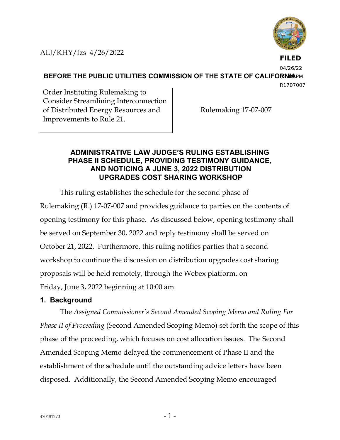

**FILED**

04/26/22

**BEFORE THE PUBLIC UTILITIES COMMISSION OF THE STATE OF CALIFORNIAPM** 

R1707007

Order Instituting Rulemaking to Consider Streamlining Interconnection of Distributed Energy Resources and Improvements to Rule 21.

Rulemaking 17-07-007

## **ADMINISTRATIVE LAW JUDGE'S RULING ESTABLISHING PHASE II SCHEDULE, PROVIDING TESTIMONY GUIDANCE, AND NOTICING A JUNE 3, 2022 DISTRIBUTION UPGRADES COST SHARING WORKSHOP**

This ruling establishes the schedule for the second phase of Rulemaking (R.) 17-07-007 and provides guidance to parties on the contents of opening testimony for this phase. As discussed below, opening testimony shall be served on September 30, 2022 and reply testimony shall be served on October 21, 2022. Furthermore, this ruling notifies parties that a second workshop to continue the discussion on distribution upgrades cost sharing proposals will be held remotely, through the Webex platform, on Friday, June 3, 2022 beginning at 10:00 am.

# **1. Background**

The *Assigned Commissioner's Second Amended Scoping Memo and Ruling For Phase II of Proceeding* (Second Amended Scoping Memo) set forth the scope of this phase of the proceeding, which focuses on cost allocation issues. The Second Amended Scoping Memo delayed the commencement of Phase II and the establishment of the schedule until the outstanding advice letters have been disposed. Additionally, the Second Amended Scoping Memo encouraged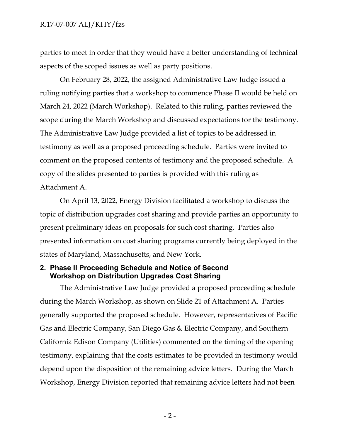#### R.17-07-007 ALJ/KHY/fzs

parties to meet in order that they would have a better understanding of technical aspects of the scoped issues as well as party positions.

On February 28, 2022, the assigned Administrative Law Judge issued a ruling notifying parties that a workshop to commence Phase II would be held on March 24, 2022 (March Workshop). Related to this ruling, parties reviewed the scope during the March Workshop and discussed expectations for the testimony. The Administrative Law Judge provided a list of topics to be addressed in testimony as well as a proposed proceeding schedule. Parties were invited to comment on the proposed contents of testimony and the proposed schedule. A copy of the slides presented to parties is provided with this ruling as Attachment A.

On April 13, 2022, Energy Division facilitated a workshop to discuss the topic of distribution upgrades cost sharing and provide parties an opportunity to present preliminary ideas on proposals for such cost sharing. Parties also presented information on cost sharing programs currently being deployed in the states of Maryland, Massachusetts, and New York.

#### **2. Phase II Proceeding Schedule and Notice of Second Workshop on Distribution Upgrades Cost Sharing**

The Administrative Law Judge provided a proposed proceeding schedule during the March Workshop, as shown on Slide 21 of Attachment A. Parties generally supported the proposed schedule. However, representatives of Pacific Gas and Electric Company, San Diego Gas & Electric Company, and Southern California Edison Company (Utilities) commented on the timing of the opening testimony, explaining that the costs estimates to be provided in testimony would depend upon the disposition of the remaining advice letters. During the March Workshop, Energy Division reported that remaining advice letters had not been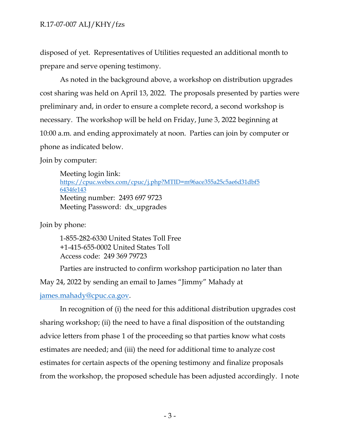disposed of yet. Representatives of Utilities requested an additional month to prepare and serve opening testimony.

As noted in the background above, a workshop on distribution upgrades cost sharing was held on April 13, 2022. The proposals presented by parties were preliminary and, in order to ensure a complete record, a second workshop is necessary. The workshop will be held on Friday, June 3, 2022 beginning at 10:00 a.m. and ending approximately at noon. Parties can join by computer or phone as indicated below.

Join by computer:

Meeting login link: [https://cpuc.webex.com/cpuc/j.php?MTID=m96ace355a25c5ae6d31dbf5](https://cpuc.webex.com/cpuc/j.php?MTID=m96ace355a25c5ae6d31dbf56434fe143) [6434fe143](https://cpuc.webex.com/cpuc/j.php?MTID=m96ace355a25c5ae6d31dbf56434fe143) Meeting number: 2493 697 9723 Meeting Password: dx\_upgrades

Join by phone:

1-855-282-6330 United States Toll Free +1-415-655-0002 United States Toll Access code: 249 369 79723

Parties are instructed to confirm workshop participation no later than May 24, 2022 by sending an email to James "Jimmy" Mahady at

[james.mahady@cpuc.ca.gov.](mailto:james.mahady@cpuc.ca.gov)

In recognition of (i) the need for this additional distribution upgrades cost sharing workshop; (ii) the need to have a final disposition of the outstanding advice letters from phase 1 of the proceeding so that parties know what costs estimates are needed; and (iii) the need for additional time to analyze cost estimates for certain aspects of the opening testimony and finalize proposals from the workshop, the proposed schedule has been adjusted accordingly. I note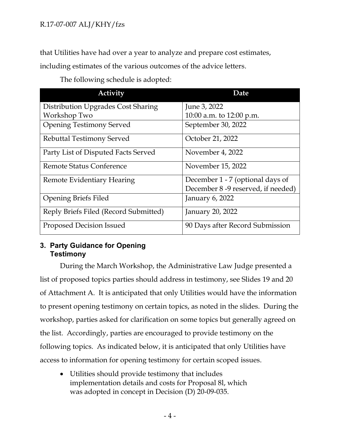that Utilities have had over a year to analyze and prepare cost estimates,

including estimates of the various outcomes of the advice letters.

| <b>Activity</b>                       | Date                               |
|---------------------------------------|------------------------------------|
| Distribution Upgrades Cost Sharing    | June 3, 2022                       |
| Workshop Two                          | 10:00 a.m. to 12:00 p.m.           |
| <b>Opening Testimony Served</b>       | September 30, 2022                 |
| <b>Rebuttal Testimony Served</b>      | October 21, 2022                   |
| Party List of Disputed Facts Served   | November 4, 2022                   |
| <b>Remote Status Conference</b>       | November 15, 2022                  |
| Remote Evidentiary Hearing            | December 1 - 7 (optional days of   |
|                                       | December 8 -9 reserved, if needed) |
| <b>Opening Briefs Filed</b>           | January 6, 2022                    |
| Reply Briefs Filed (Record Submitted) | January 20, 2022                   |
| Proposed Decision Issued              | 90 Days after Record Submission    |

The following schedule is adopted:

# **3. Party Guidance for Opening Testimony**

During the March Workshop, the Administrative Law Judge presented a list of proposed topics parties should address in testimony, see Slides 19 and 20 of Attachment A. It is anticipated that only Utilities would have the information to present opening testimony on certain topics, as noted in the slides. During the workshop, parties asked for clarification on some topics but generally agreed on the list. Accordingly, parties are encouraged to provide testimony on the following topics. As indicated below, it is anticipated that only Utilities have access to information for opening testimony for certain scoped issues.

• Utilities should provide testimony that includes implementation details and costs for Proposal 8l, which was adopted in concept in Decision (D) 20-09-035.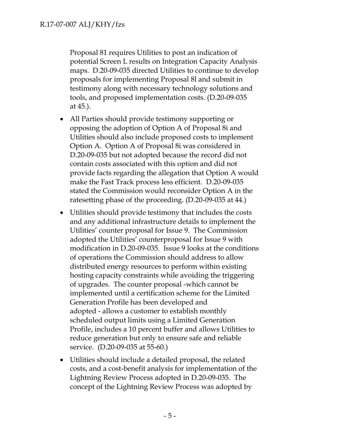Proposal 81 requires Utilities to post an indication of potential Screen L results on Integration Capacity Analysis maps. D.20-09-035 directed Utilities to continue to develop proposals for implementing Proposal 8l and submit in testimony along with necessary technology solutions and tools, and proposed implementation costs. (D.20-09-035 at 45.).

- All Parties should provide testimony supporting or opposing the adoption of Option A of Proposal 8i and Utilities should also include proposed costs to implement Option A. Option A of Proposal 8i was considered in D.20-09-035 but not adopted because the record did not contain costs associated with this option and did not provide facts regarding the allegation that Option A would make the Fast Track process less efficient. D.20-09-035 stated the Commission would reconsider Option A in the ratesetting phase of the proceeding. (D.20-09-035 at 44.)
- Utilities should provide testimony that includes the costs and any additional infrastructure details to implement the Utilities' counter proposal for Issue 9. The Commission adopted the Utilities' counterproposal for Issue 9 with modification in D.20-09-035. Issue 9 looks at the conditions of operations the Commission should address to allow distributed energy resources to perform within existing hosting capacity constraints while avoiding the triggering of upgrades. The counter proposal -which cannot be implemented until a certification scheme for the Limited Generation Profile has been developed and adopted - allows a customer to establish monthly scheduled output limits using a Limited Generation Profile, includes a 10 percent buffer and allows Utilities to reduce generation but only to ensure safe and reliable service. (D.20-09-035 at 55-60.)
- Utilities should include a detailed proposal, the related costs, and a cost-benefit analysis for implementation of the Lightning Review Process adopted in D.20-09-035. The concept of the Lightning Review Process was adopted by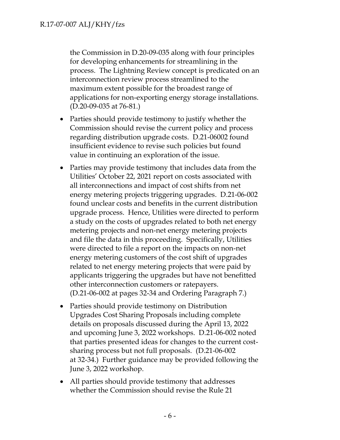the Commission in D.20-09-035 along with four principles for developing enhancements for streamlining in the process. The Lightning Review concept is predicated on an interconnection review process streamlined to the maximum extent possible for the broadest range of applications for non-exporting energy storage installations. (D.20-09-035 at 76-81.)

- Parties should provide testimony to justify whether the Commission should revise the current policy and process regarding distribution upgrade costs. D.21-06002 found insufficient evidence to revise such policies but found value in continuing an exploration of the issue.
- Parties may provide testimony that includes data from the Utilities' October 22, 2021 report on costs associated with all interconnections and impact of cost shifts from net energy metering projects triggering upgrades. D.21-06-002 found unclear costs and benefits in the current distribution upgrade process. Hence, Utilities were directed to perform a study on the costs of upgrades related to both net energy metering projects and non-net energy metering projects and file the data in this proceeding. Specifically, Utilities were directed to file a report on the impacts on non-net energy metering customers of the cost shift of upgrades related to net energy metering projects that were paid by applicants triggering the upgrades but have not benefitted other interconnection customers or ratepayers. (D.21-06-002 at pages 32-34 and Ordering Paragraph 7.)
- Parties should provide testimony on Distribution Upgrades Cost Sharing Proposals including complete details on proposals discussed during the April 13, 2022 and upcoming June 3, 2022 workshops. D.21-06-002 noted that parties presented ideas for changes to the current costsharing process but not full proposals. (D.21-06-002 at 32-34.) Further guidance may be provided following the June 3, 2022 workshop.
- All parties should provide testimony that addresses whether the Commission should revise the Rule 21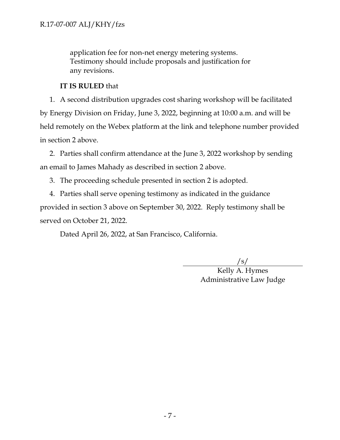application fee for non-net energy metering systems. Testimony should include proposals and justification for any revisions.

## **IT IS RULED** that

1. A second distribution upgrades cost sharing workshop will be facilitated by Energy Division on Friday, June 3, 2022, beginning at 10:00 a.m. and will be held remotely on the Webex platform at the link and telephone number provided in section 2 above.

2. Parties shall confirm attendance at the June 3, 2022 workshop by sending an email to James Mahady as described in section 2 above.

3. The proceeding schedule presented in section 2 is adopted.

4. Parties shall serve opening testimony as indicated in the guidance provided in section 3 above on September 30, 2022. Reply testimony shall be served on October 21, 2022.

Dated April 26, 2022, at San Francisco, California.

/s/

Kelly A. Hymes Administrative Law Judge